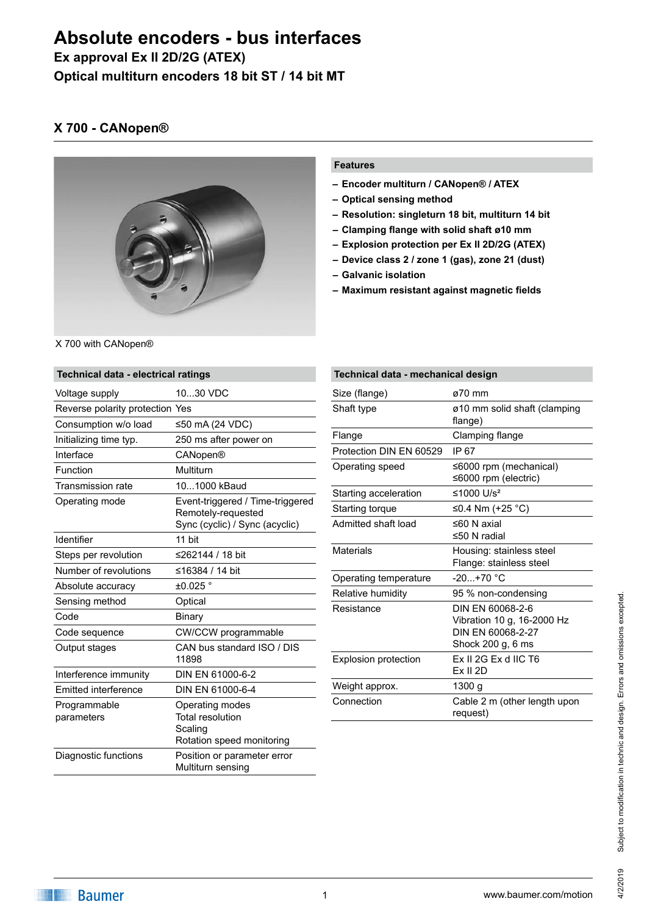# **Absolute encoders - bus interfaces**

**Ex approval Ex II 2D/2G (ATEX)**

**Optical multiturn encoders 18 bit ST / 14 bit MT**

## **X 700 - CANopen®**



#### **Features**

- **– Encoder multiturn / CANopen® / ATEX**
- **– Optical sensing method**
- **– Resolution: singleturn 18 bit, multiturn 14 bit**
- **– Clamping flange with solid shaft ø10 mm**
- **– Explosion protection per Ex II 2D/2G (ATEX)**
- **– Device class 2 / zone 1 (gas), zone 21 (dust)**
- **– Galvanic isolation**
- **– Maximum resistant against magnetic fields**

| Technical data - electrical ratings |                                                                                          |  |
|-------------------------------------|------------------------------------------------------------------------------------------|--|
| Voltage supply                      | 1030 VDC                                                                                 |  |
| Reverse polarity protection Yes     |                                                                                          |  |
| Consumption w/o load                | ≤50 mA (24 VDC)                                                                          |  |
| Initializing time typ.              | 250 ms after power on                                                                    |  |
| Interface                           | CANopen®                                                                                 |  |
| Function                            | Multiturn                                                                                |  |
| <b>Transmission rate</b>            | 101000 kBaud                                                                             |  |
| Operating mode                      | Event-triggered / Time-triggered<br>Remotely-requested<br>Sync (cyclic) / Sync (acyclic) |  |
| Identifier                          | 11 bit                                                                                   |  |
| Steps per revolution                | ≤262144 / 18 bit                                                                         |  |
| Number of revolutions               | ≤16384 / 14 bit                                                                          |  |
| Absolute accuracy                   | $±0.025$ °                                                                               |  |
| Sensing method                      | Optical                                                                                  |  |
| Code                                | Binary                                                                                   |  |
| Code sequence                       | CW/CCW programmable                                                                      |  |
| Output stages                       | CAN bus standard ISO / DIS<br>11898                                                      |  |
| Interference immunity               | DIN EN 61000-6-2                                                                         |  |
| <b>Emitted interference</b>         | DIN EN 61000-6-4                                                                         |  |
| Programmable<br>parameters          | Operating modes<br><b>Total resolution</b><br>Scaling<br>Rotation speed monitoring       |  |
| Diagnostic functions                | Position or parameter error<br>Multiturn sensing                                         |  |

| Technical data - mechanical design |                                                                                          |  |
|------------------------------------|------------------------------------------------------------------------------------------|--|
| Size (flange)                      | ø70 mm                                                                                   |  |
| Shaft type                         | ø10 mm solid shaft (clamping<br>flange)                                                  |  |
| Flange                             | Clamping flange                                                                          |  |
| Protection DIN EN 60529            | IP 67                                                                                    |  |
| Operating speed                    | $\leq 6000$ rpm (mechanical)<br>≤6000 rpm (electric)                                     |  |
| Starting acceleration              | ≤1000 $U/s^2$                                                                            |  |
| Starting torque                    | ≤0.4 Nm (+25 °C)                                                                         |  |
| Admitted shaft load                | $\leq 60$ N axial<br>≤50 N radial                                                        |  |
| Materials                          | Housing: stainless steel<br>Flange: stainless steel                                      |  |
| Operating temperature              | $-20+70$ °C                                                                              |  |
| Relative humidity                  | 95 % non-condensing                                                                      |  |
| Resistance                         | DIN EN 60068-2-6<br>Vibration 10 g, 16-2000 Hz<br>DIN FN 60068-2-27<br>Shock 200 g, 6 ms |  |
| <b>Explosion protection</b>        | Ex II 2G Ex d IIC T6<br><b>Ex II 2D</b>                                                  |  |
| Weight approx.                     | 1300 g                                                                                   |  |
| Connection                         | Cable 2 m (other length upon<br>request)                                                 |  |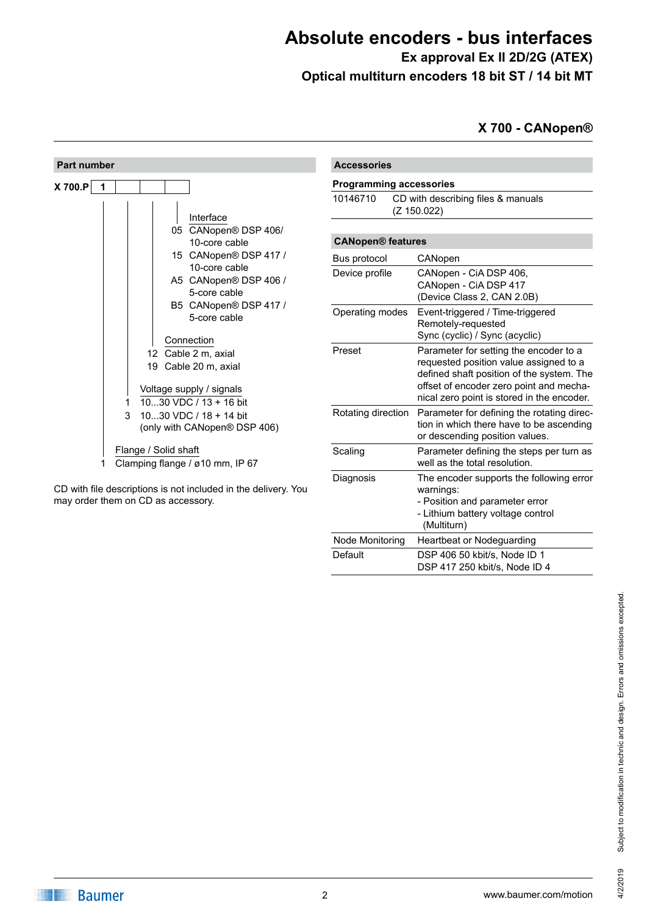## **Absolute encoders - bus interfaces Ex approval Ex II 2D/2G (ATEX)**

**Optical multiturn encoders 18 bit ST / 14 bit MT**

**X 700 - CANopen®**



CD with file descriptions is not included in the delivery. You may order them on CD as accessory.

| <b>Accessories</b>                                            |                                                                                                                                                                                                                        |
|---------------------------------------------------------------|------------------------------------------------------------------------------------------------------------------------------------------------------------------------------------------------------------------------|
| <b>Programming accessories</b>                                |                                                                                                                                                                                                                        |
| 10146710<br>CD with describing files & manuals<br>(Z 150.022) |                                                                                                                                                                                                                        |
| <b>CANopen® features</b>                                      |                                                                                                                                                                                                                        |
| Bus protocol                                                  | CANopen                                                                                                                                                                                                                |
| Device profile                                                | CANopen - CiA DSP 406,<br>CANopen - CiA DSP 417<br>(Device Class 2, CAN 2.0B)                                                                                                                                          |
| Operating modes                                               | Event-triggered / Time-triggered<br>Remotely-requested<br>Sync (cyclic) / Sync (acyclic)                                                                                                                               |
| Preset                                                        | Parameter for setting the encoder to a<br>requested position value assigned to a<br>defined shaft position of the system. The<br>offset of encoder zero point and mecha-<br>nical zero point is stored in the encoder. |
| Rotating direction                                            | Parameter for defining the rotating direc-<br>tion in which there have to be ascending<br>or descending position values.                                                                                               |
| Scaling                                                       | Parameter defining the steps per turn as<br>well as the total resolution.                                                                                                                                              |
| Diagnosis                                                     | The encoder supports the following error<br>warnings:<br>- Position and parameter error<br>- Lithium battery voltage control<br>(Multiturn)                                                                            |
| Node Monitoring                                               | <b>Heartbeat or Nodeguarding</b>                                                                                                                                                                                       |
| Default                                                       | DSP 406 50 kbit/s, Node ID 1<br>DSP 417 250 kbit/s, Node ID 4                                                                                                                                                          |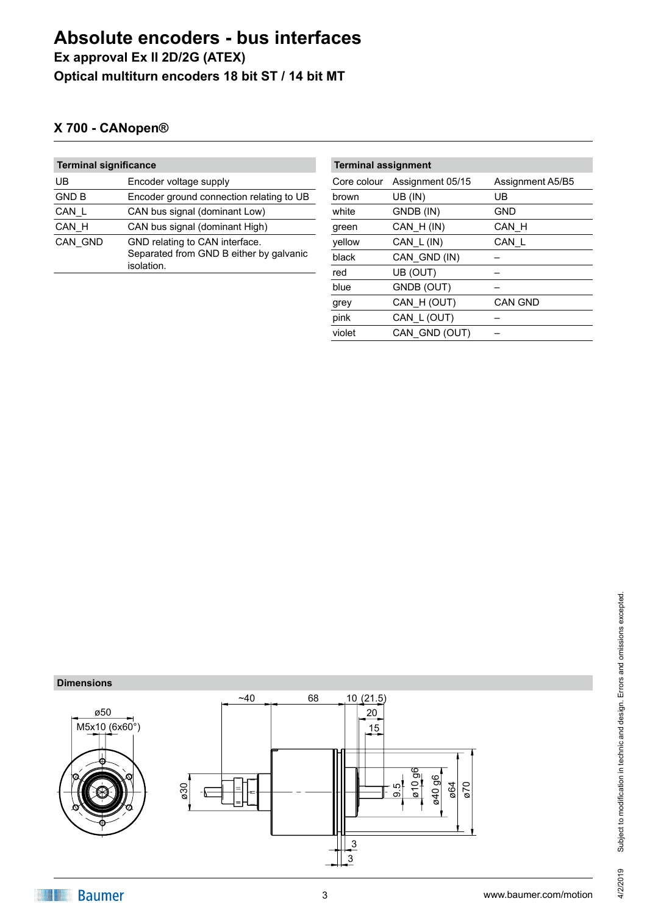## **Absolute encoders - bus interfaces Ex approval Ex II 2D/2G (ATEX) Optical multiturn encoders 18 bit ST / 14 bit MT**

## **X 700 - CANopen®**

| <b>Terminal significance</b> |                                                       | <b>Terminal assignment</b> |          |
|------------------------------|-------------------------------------------------------|----------------------------|----------|
| UB                           | Encoder voltage supply                                | Core colour                | Assignm  |
| <b>GND B</b>                 | Encoder ground connection relating to UB              | brown                      | UB (IN)  |
| CAN L                        | CAN bus signal (dominant Low)                         | white                      | GNDB (I) |
| CAN H                        | CAN bus signal (dominant High)                        | green                      | CAN H(   |
| CAN GND                      | GND relating to CAN interface.                        | yellow                     | CAN L(   |
|                              | Separated from GND B either by galvanic<br>isolation. | black                      | CAN GN   |
|                              |                                                       | red                        | UB (OUT  |

| <b>Terminal assignment</b> |                  |                  |  |
|----------------------------|------------------|------------------|--|
| Core colour                | Assignment 05/15 | Assignment A5/B5 |  |
| brown                      | UB (IN)          | UB               |  |
| white                      | GNDB (IN)        | GND              |  |
| green                      | CAN H(IN)        | CAN_H            |  |
| yellow                     | CAN_L(IN)        | CAN L            |  |
| black                      | CAN GND (IN)     |                  |  |
| red                        | UB (OUT)         |                  |  |
| blue                       | GNDB (OUT)       |                  |  |
| grey                       | CAN H (OUT)      | <b>CAN GND</b>   |  |
| pink                       | CAN L (OUT)      |                  |  |
| violet                     | CAN GND (OUT)    |                  |  |
|                            |                  |                  |  |

#### **Dimensions**